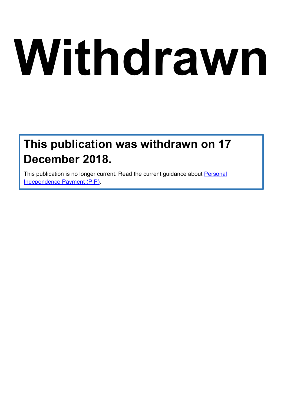# **Withdrawn**

# **This publication was withdrawn on 17 December 2018.**

This publication is no longer current. Read the current guidance about [Personal](https://www.gov.uk/pip)  [Independence Payment \(PIP\).](https://www.gov.uk/pip)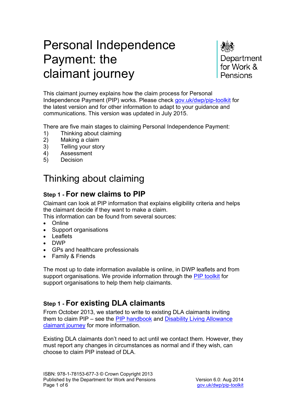# Personal Independence Payment: the claimant journey

Department for Work & Pensions

This claimant journey explains how the claim process for Personal Independence Payment (PIP) works. Please check [gov.uk/dwp/pip-toolkit](https://www.gov.uk/dwp/pip-toolkit) for the latest version and for other information to adapt to your guidance and communications. This version was updated in July 2015.

There are five main stages to claiming Personal Independence Payment:

- 1) Thinking about claiming<br>2) Making a claim
- Making a claim
- 3) Telling your story
- 4) Assessment
- 5) Decision

# Thinking about claiming

## **Step 1 - For new claims to PIP**

Claimant can look at PIP information that explains eligibility criteria and helps the claimant decide if they want to make a claim.

This information can be found from several sources:

- Online
- Support organisations
- Leaflets
- DWP
- GPs and healthcare professionals
- Family & Friends

The most up to date information available is online, in DWP leaflets and from support organisations. We provide information through the [PIP toolkit](https://www.gov.uk/pip-toolkit) for support organisations to help them help claimants.

## **Step 1 - For existing DLA claimants**

From October 2013, we started to write to existing DLA claimants inviting them to claim PIP – see the [PIP handbook](https://www.gov.uk/government/publications/reassessing-existing-dla-claimants-for-pip) and [Disability Living Allowance](https://www.gov.uk/government/publications/disability-living-allowance-is-ending-claimant-journey)  [claimant journey](https://www.gov.uk/government/publications/disability-living-allowance-is-ending-claimant-journey) for more information.

Existing DLA claimants don't need to act until we contact them. However, they must report any changes in circumstances as normal and if they wish, can choose to claim PIP instead of DLA.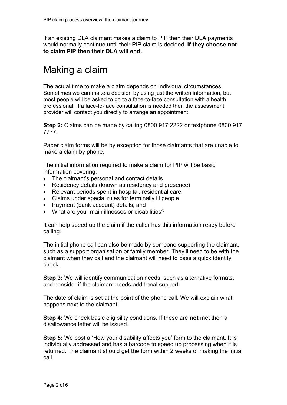If an existing DLA claimant makes a claim to PIP then their DLA payments would normally continue until their PIP claim is decided. **If they choose not to claim PIP then their DLA will end.** 

# Making a claim

The actual time to make a claim depends on individual circumstances. Sometimes we can make a decision by using just the written information, but most people will be asked to go to a face-to-face consultation with a health professional. If a face-to-face consultation is needed then the assessment provider will contact you directly to arrange an appointment.

**Step 2:** Claims can be made by calling 0800 917 2222 or textphone 0800 917 7777.

Paper claim forms will be by exception for those claimants that are unable to make a claim by phone.

The initial information required to make a claim for PIP will be basic information covering:

- The claimant's personal and contact details
- Residency details (known as residency and presence)
- Relevant periods spent in hospital, residential care
- Claims under special rules for terminally ill people
- Payment (bank account) details, and
- What are your main illnesses or disabilities?

It can help speed up the claim if the caller has this information ready before calling.

The initial phone call can also be made by someone supporting the claimant, such as a support organisation or family member. They'll need to be with the claimant when they call and the claimant will need to pass a quick identity check.

**Step 3:** We will identify communication needs, such as alternative formats, and consider if the claimant needs additional support.

The date of claim is set at the point of the phone call. We will explain what happens next to the claimant.

**Step 4:** We check basic eligibility conditions. If these are **not** met then a disallowance letter will be issued.

**Step 5:** We post a 'How your disability affects you' form to the claimant. It is individually addressed and has a barcode to speed up processing when it is returned. The claimant should get the form within 2 weeks of making the initial call.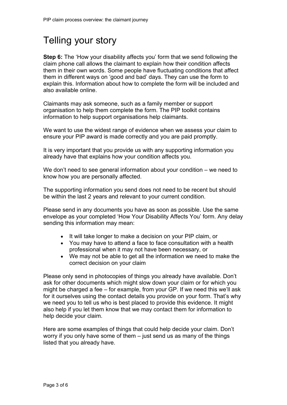# Telling your story

**Step 6:** The 'How your disability affects you' form that we send following the claim phone call allows the claimant to explain how their condition affects them in their own words. Some people have fluctuating conditions that affect them in different ways on 'good and bad' days. They can use the form to explain this. Information about how to complete the form will be included and also available online.

Claimants may ask someone, such as a family member or support organisation to help them complete the form. The PIP toolkit contains information to help support organisations help claimants.

We want to use the widest range of evidence when we assess your claim to ensure your PIP award is made correctly and you are paid promptly.

It is very important that you provide us with any supporting information you already have that explains how your condition affects you.

We don't need to see general information about your condition – we need to know how you are personally affected.

The supporting information you send does not need to be recent but should be within the last 2 years and relevant to your current condition.

Please send in any documents you have as soon as possible. Use the same envelope as your completed 'How Your Disability Affects You' form. Any delay sending this information may mean:

- It will take longer to make a decision on your PIP claim, or
- You may have to attend a face to face consultation with a health professional when it may not have been necessary, or
- We may not be able to get all the information we need to make the correct decision on your claim

Please only send in photocopies of things you already have available. Don't ask for other documents which might slow down your claim or for which you might be charged a fee – for example, from your GP. If we need this we'll ask for it ourselves using the contact details you provide on your form. That's why we need you to tell us who is best placed to provide this evidence. It might also help if you let them know that we may contact them for information to help decide your claim.

Here are some examples of things that could help decide your claim. Don't worry if you only have some of them – just send us as many of the things listed that you already have.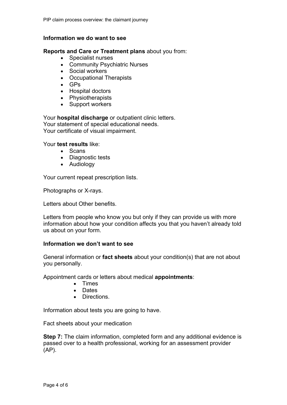#### **Information we do want to see**

#### **Reports and Care or Treatment plans** about you from:

- Specialist nurses
- Community Psychiatric Nurses
- Social workers
- Occupational Therapists
- GPs
- Hospital doctors
- Physiotherapists
- Support workers

Your **hospital discharge** or outpatient clinic letters. Your statement of special educational needs. Your certificate of visual impairment.

Your **test results** like:

- Scans
- Diagnostic tests
- Audiology

Your current repeat prescription lists.

Photographs or X-rays.

Letters about Other benefits.

Letters from people who know you but only if they can provide us with more information about how your condition affects you that you haven't already told us about on your form.

#### **Information we don't want to see**

General information or **fact sheets** about your condition(s) that are not about you personally.

Appointment cards or letters about medical **appointments**:

- Times
- Dates
- Directions.

Information about tests you are going to have.

Fact sheets about your medication

**Step 7:** The claim information, completed form and any additional evidence is passed over to a health professional, working for an assessment provider (AP).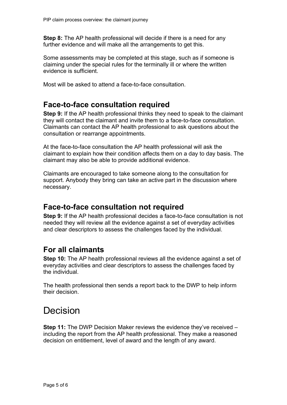**Step 8:** The AP health professional will decide if there is a need for any further evidence and will make all the arrangements to get this.

Some assessments may be completed at this stage, such as if someone is claiming under the special rules for the terminally ill or where the written evidence is sufficient.

Most will be asked to attend a face-to-face consultation.

## **Face-to-face consultation required**

**Step 9:** If the AP health professional thinks they need to speak to the claimant they will contact the claimant and invite them to a face-to-face consultation. Claimants can contact the AP health professional to ask questions about the consultation or rearrange appointments.

At the face-to-face consultation the AP health professional will ask the claimant to explain how their condition affects them on a day to day basis. The claimant may also be able to provide additional evidence.

Claimants are encouraged to take someone along to the consultation for support. Anybody they bring can take an active part in the discussion where necessary.

### **Face-to-face consultation not required**

**Step 9:** If the AP health professional decides a face-to-face consultation is not needed they will review all the evidence against a set of everyday activities and clear descriptors to assess the challenges faced by the individual.

## **For all claimants**

**Step 10:** The AP health professional reviews all the evidence against a set of everyday activities and clear descriptors to assess the challenges faced by the individual.

The health professional then sends a report back to the DWP to help inform their decision.

## Decision

**Step 11:** The DWP Decision Maker reviews the evidence they've received – including the report from the AP health professional. They make a reasoned decision on entitlement, level of award and the length of any award.